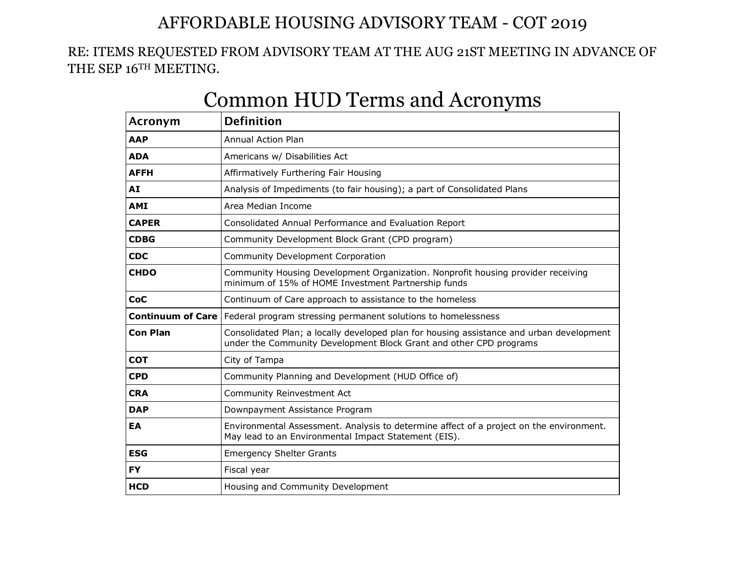## AFFORDABLE HOUSING ADVISORY TEAM - COT 2019

## RE: ITEMS REQUESTED FROM ADVISORY TEAM AT THE AUG 21ST MEETING IN ADVANCE OF THE SEP 16TH MEETING.

| Acronym         | <b>Definition</b>                                                                                                                                              |  |  |  |  |
|-----------------|----------------------------------------------------------------------------------------------------------------------------------------------------------------|--|--|--|--|
| <b>AAP</b>      | <b>Annual Action Plan</b>                                                                                                                                      |  |  |  |  |
| <b>ADA</b>      | Americans w/ Disabilities Act                                                                                                                                  |  |  |  |  |
| <b>AFFH</b>     | Affirmatively Furthering Fair Housing                                                                                                                          |  |  |  |  |
| AI              | Analysis of Impediments (to fair housing); a part of Consolidated Plans                                                                                        |  |  |  |  |
| <b>AMI</b>      | Area Median Income                                                                                                                                             |  |  |  |  |
| <b>CAPER</b>    | Consolidated Annual Performance and Evaluation Report                                                                                                          |  |  |  |  |
| <b>CDBG</b>     | Community Development Block Grant (CPD program)                                                                                                                |  |  |  |  |
| <b>CDC</b>      | Community Development Corporation                                                                                                                              |  |  |  |  |
| <b>CHDO</b>     | Community Housing Development Organization. Nonprofit housing provider receiving<br>minimum of 15% of HOME Investment Partnership funds                        |  |  |  |  |
| CoC             | Continuum of Care approach to assistance to the homeless                                                                                                       |  |  |  |  |
|                 | <b>Continuum of Care</b>   Federal program stressing permanent solutions to homelessness                                                                       |  |  |  |  |
| <b>Con Plan</b> | Consolidated Plan; a locally developed plan for housing assistance and urban development<br>under the Community Development Block Grant and other CPD programs |  |  |  |  |
| <b>COT</b>      | City of Tampa                                                                                                                                                  |  |  |  |  |
| <b>CPD</b>      | Community Planning and Development (HUD Office of)                                                                                                             |  |  |  |  |
| <b>CRA</b>      | Community Reinvestment Act                                                                                                                                     |  |  |  |  |
| <b>DAP</b>      | Downpayment Assistance Program                                                                                                                                 |  |  |  |  |
| EA              | Environmental Assessment. Analysis to determine affect of a project on the environment.<br>May lead to an Environmental Impact Statement (EIS).                |  |  |  |  |
| <b>ESG</b>      | <b>Emergency Shelter Grants</b>                                                                                                                                |  |  |  |  |
| <b>FY</b>       | Fiscal year                                                                                                                                                    |  |  |  |  |
| <b>HCD</b>      | Housing and Community Development                                                                                                                              |  |  |  |  |

## Common HUD Terms and Acronyms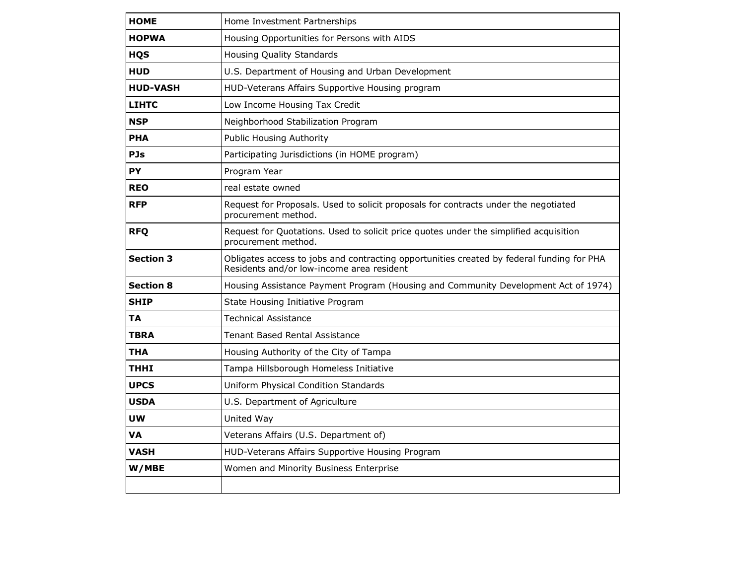| <b>HOME</b>      | Home Investment Partnerships                                                                                                           |
|------------------|----------------------------------------------------------------------------------------------------------------------------------------|
| <b>HOPWA</b>     | Housing Opportunities for Persons with AIDS                                                                                            |
| <b>HQS</b>       | <b>Housing Quality Standards</b>                                                                                                       |
| <b>HUD</b>       | U.S. Department of Housing and Urban Development                                                                                       |
| <b>HUD-VASH</b>  | HUD-Veterans Affairs Supportive Housing program                                                                                        |
| <b>LIHTC</b>     | Low Income Housing Tax Credit                                                                                                          |
| <b>NSP</b>       | Neighborhood Stabilization Program                                                                                                     |
| <b>PHA</b>       | <b>Public Housing Authority</b>                                                                                                        |
| <b>PJs</b>       | Participating Jurisdictions (in HOME program)                                                                                          |
| <b>PY</b>        | Program Year                                                                                                                           |
| <b>REO</b>       | real estate owned                                                                                                                      |
| <b>RFP</b>       | Request for Proposals. Used to solicit proposals for contracts under the negotiated<br>procurement method.                             |
| <b>RFQ</b>       | Request for Quotations. Used to solicit price quotes under the simplified acquisition<br>procurement method.                           |
| <b>Section 3</b> | Obligates access to jobs and contracting opportunities created by federal funding for PHA<br>Residents and/or low-income area resident |
| <b>Section 8</b> | Housing Assistance Payment Program (Housing and Community Development Act of 1974)                                                     |
| <b>SHIP</b>      | State Housing Initiative Program                                                                                                       |
| TA               | <b>Technical Assistance</b>                                                                                                            |
| TBRA             | Tenant Based Rental Assistance                                                                                                         |
| THA              | Housing Authority of the City of Tampa                                                                                                 |
| THHI             | Tampa Hillsborough Homeless Initiative                                                                                                 |
| <b>UPCS</b>      | Uniform Physical Condition Standards                                                                                                   |
| <b>USDA</b>      | U.S. Department of Agriculture                                                                                                         |
| UW               | United Way                                                                                                                             |
| VA               | Veterans Affairs (U.S. Department of)                                                                                                  |
| VASH             | HUD-Veterans Affairs Supportive Housing Program                                                                                        |
| W/MBE            | Women and Minority Business Enterprise                                                                                                 |
|                  |                                                                                                                                        |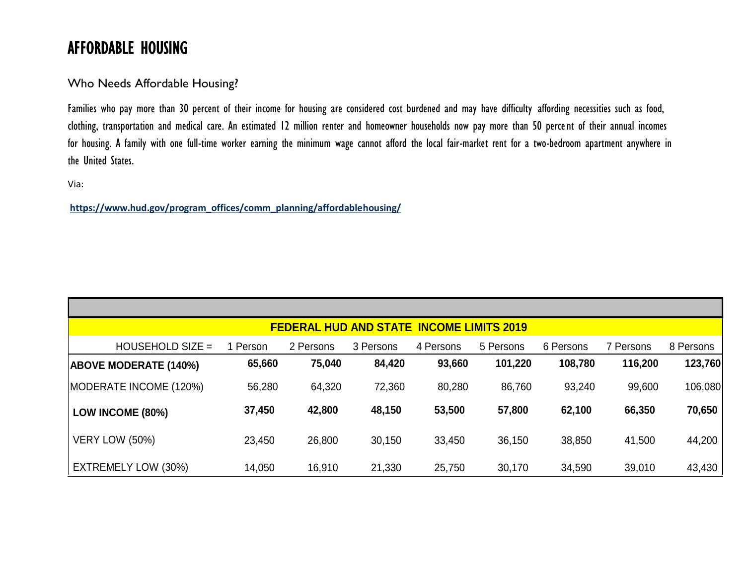## AFFORDABLE HOUSING

Who Needs Affordable Housing?

Families who pay more than 30 percent of their income for housing are considered cost burdened and may have difficulty affording necessities such as food, clothing, transportation and medical care. An estimated 12 million renter and homeowner households now pay more than 50 percent of their annual incomes for housing. A family with one full-time worker earning the minimum wage cannot afford the local fair-market rent for a two-bedroom apartment anywhere in the United States.

Via:

**[https://www.hud.gov/program\\_offices/comm\\_planning/affordablehousing/](https://www.hud.gov/program_offices/comm_planning/affordablehousing/)**

| <b>FEDERAL HUD AND STATE INCOME LIMITS 2019</b> |          |           |           |           |           |           |           |           |  |  |
|-------------------------------------------------|----------|-----------|-----------|-----------|-----------|-----------|-----------|-----------|--|--|
| HOUSEHOLD SIZE $=$                              | 1 Person | 2 Persons | 3 Persons | 4 Persons | 5 Persons | 6 Persons | 7 Persons | 8 Persons |  |  |
| <b>ABOVE MODERATE (140%)</b>                    | 65,660   | 75,040    | 84,420    | 93,660    | 101,220   | 108,780   | 116,200   | 123,760   |  |  |
| MODERATE INCOME (120%)                          | 56,280   | 64,320    | 72,360    | 80,280    | 86,760    | 93,240    | 99,600    | 106,080   |  |  |
| LOW INCOME (80%)                                | 37,450   | 42,800    | 48,150    | 53,500    | 57,800    | 62,100    | 66,350    | 70,650    |  |  |
| <b>VERY LOW (50%)</b>                           | 23,450   | 26,800    | 30,150    | 33,450    | 36,150    | 38,850    | 41,500    | 44,200    |  |  |
| EXTREMELY LOW (30%)                             | 14,050   | 16,910    | 21,330    | 25,750    | 30,170    | 34,590    | 39,010    | 43,430    |  |  |